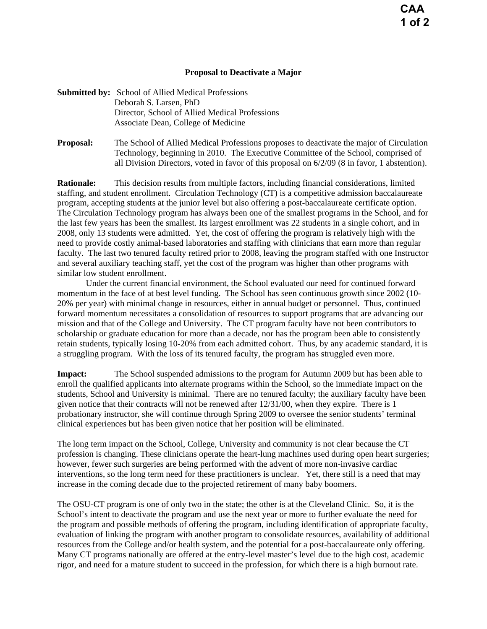## **Proposal to Deactivate a Major**

| <b>Submitted by:</b> School of Allied Medical Professions |
|-----------------------------------------------------------|
| Deborah S. Larsen, PhD                                    |
| Director, School of Allied Medical Professions            |
| Associate Dean, College of Medicine                       |
|                                                           |

**Proposal:** The School of Allied Medical Professions proposes to deactivate the major of Circulation Technology, beginning in 2010. The Executive Committee of the School, comprised of all Division Directors, voted in favor of this proposal on 6/2/09 (8 in favor, 1 abstention).

**Rationale:** This decision results from multiple factors, including financial considerations, limited staffing, and student enrollment. Circulation Technology (CT) is a competitive admission baccalaureate program, accepting students at the junior level but also offering a post-baccalaureate certificate option. The Circulation Technology program has always been one of the smallest programs in the School, and for the last few years has been the smallest. Its largest enrollment was 22 students in a single cohort, and in 2008, only 13 students were admitted. Yet, the cost of offering the program is relatively high with the need to provide costly animal-based laboratories and staffing with clinicians that earn more than regular faculty. The last two tenured faculty retired prior to 2008, leaving the program staffed with one Instructor and several auxiliary teaching staff, yet the cost of the program was higher than other programs with similar low student enrollment.

 Under the current financial environment, the School evaluated our need for continued forward momentum in the face of at best level funding. The School has seen continuous growth since 2002 (10- 20% per year) with minimal change in resources, either in annual budget or personnel. Thus, continued forward momentum necessitates a consolidation of resources to support programs that are advancing our mission and that of the College and University. The CT program faculty have not been contributors to scholarship or graduate education for more than a decade, nor has the program been able to consistently retain students, typically losing 10-20% from each admitted cohort. Thus, by any academic standard, it is a struggling program. With the loss of its tenured faculty, the program has struggled even more.

**Impact:** The School suspended admissions to the program for Autumn 2009 but has been able to enroll the qualified applicants into alternate programs within the School, so the immediate impact on the students, School and University is minimal. There are no tenured faculty; the auxiliary faculty have been given notice that their contracts will not be renewed after 12/31/00, when they expire. There is 1 probationary instructor, she will continue through Spring 2009 to oversee the senior students' terminal clinical experiences but has been given notice that her position will be eliminated.

The long term impact on the School, College, University and community is not clear because the CT profession is changing. These clinicians operate the heart-lung machines used during open heart surgeries; however, fewer such surgeries are being performed with the advent of more non-invasive cardiac interventions, so the long term need for these practitioners is unclear. Yet, there still is a need that may increase in the coming decade due to the projected retirement of many baby boomers.

The OSU-CT program is one of only two in the state; the other is at the Cleveland Clinic. So, it is the School's intent to deactivate the program and use the next year or more to further evaluate the need for the program and possible methods of offering the program, including identification of appropriate faculty, evaluation of linking the program with another program to consolidate resources, availability of additional resources from the College and/or health system, and the potential for a post-baccalaureate only offering. Many CT programs nationally are offered at the entry-level master's level due to the high cost, academic rigor, and need for a mature student to succeed in the profession, for which there is a high burnout rate.